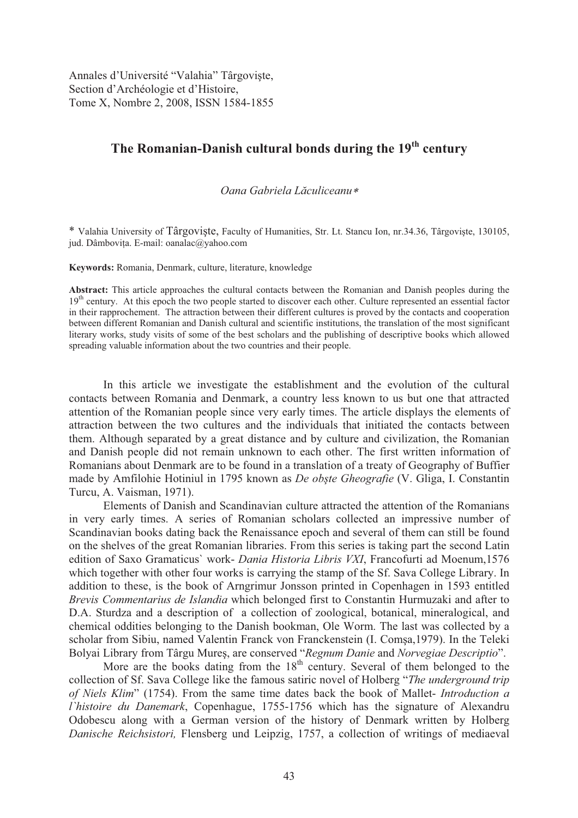Annales d'Université "Valahia" Târgoviște, Section d'Archéologie et d'Histoire, Tome X, Nombre 2, 2008, ISSN 1584-1855

## **The Romanian-Danish cultural bonds during the 19th century**

## *Oana Gabriela L culiceanu*

\* Valahia University of Târgoviste, Faculty of Humanities, Str. Lt. Stancu Ion, nr.34.36, Târgoviste, 130105, jud. Dâmbovita. E-mail: oanalac@yahoo.com

**Keywords:** Romania, Denmark, culture, literature, knowledge

**Abstract:** This article approaches the cultural contacts between the Romanian and Danish peoples during the 19<sup>th</sup> century. At this epoch the two people started to discover each other. Culture represented an essential factor in their rapprochement. The attraction between their different cultures is proved by the contacts and cooperation between different Romanian and Danish cultural and scientific institutions, the translation of the most significant literary works, study visits of some of the best scholars and the publishing of descriptive books which allowed spreading valuable information about the two countries and their people.

In this article we investigate the establishment and the evolution of the cultural contacts between Romania and Denmark, a country less known to us but one that attracted attention of the Romanian people since very early times. The article displays the elements of attraction between the two cultures and the individuals that initiated the contacts between them. Although separated by a great distance and by culture and civilization, the Romanian and Danish people did not remain unknown to each other. The first written information of Romanians about Denmark are to be found in a translation of a treaty of Geography of Buffier made by Amfilohie Hotiniul in 1795 known as *De obste Gheografie* (V. Gliga, I. Constantin Turcu, A. Vaisman, 1971).

Elements of Danish and Scandinavian culture attracted the attention of the Romanians in very early times. A series of Romanian scholars collected an impressive number of Scandinavian books dating back the Renaissance epoch and several of them can still be found on the shelves of the great Romanian libraries. From this series is taking part the second Latin edition of Saxo Gramaticus` work- *Dania Historia Libris VXI*, Francofurti ad Moenum,1576 which together with other four works is carrying the stamp of the Sf. Sava College Library. In addition to these, is the book of Arngrimur Jonsson printed in Copenhagen in 1593 entitled *Brevis Commentarius de Islandia* which belonged first to Constantin Hurmuzaki and after to D.A. Sturdza and a description of a collection of zoological, botanical, mineralogical, and chemical oddities belonging to the Danish bookman, Ole Worm. The last was collected by a scholar from Sibiu, named Valentin Franck von Franckenstein (I. Comsa, 1979). In the Teleki Bolyai Library from Târgu Mureș, are conserved "*Regnum Danie* and *Norvegiae Descriptio*".

More are the books dating from the  $18<sup>th</sup>$  century. Several of them belonged to the collection of Sf. Sava College like the famous satiric novel of Holberg "*The underground trip of Niels Klim*" (1754). From the same time dates back the book of Mallet- *Introduction a l`histoire du Danemark*, Copenhague, 1755-1756 which has the signature of Alexandru Odobescu along with a German version of the history of Denmark written by Holberg *Danische Reichsistori,* Flensberg und Leipzig, 1757, a collection of writings of mediaeval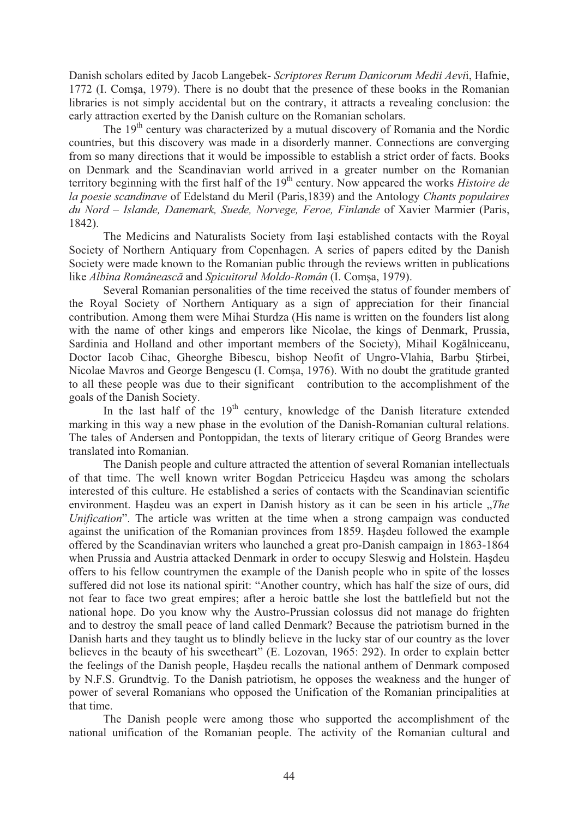Danish scholars edited by Jacob Langebek- *Scriptores Rerum Danicorum Medii Aevi*i, Hafnie, 1772 (I. Comsa, 1979). There is no doubt that the presence of these books in the Romanian libraries is not simply accidental but on the contrary, it attracts a revealing conclusion: the early attraction exerted by the Danish culture on the Romanian scholars.

The  $19<sup>th</sup>$  century was characterized by a mutual discovery of Romania and the Nordic countries, but this discovery was made in a disorderly manner. Connections are converging from so many directions that it would be impossible to establish a strict order of facts. Books on Denmark and the Scandinavian world arrived in a greater number on the Romanian territory beginning with the first half of the 19<sup>th</sup> century. Now appeared the works *Histoire de la poesie scandinave* of Edelstand du Meril (Paris,1839) and the Antology *Chants populaires du Nord – Islande, Danemark, Suede, Norvege, Feroe, Finlande* of Xavier Marmier (Paris, 1842).

The Medicins and Naturalists Society from Iasi established contacts with the Royal Society of Northern Antiquary from Copenhagen. A series of papers edited by the Danish Society were made known to the Romanian public through the reviews written in publications like *Albina Românească* and *Spicuitorul Moldo-Român* (I. Comșa, 1979).

Several Romanian personalities of the time received the status of founder members of the Royal Society of Northern Antiquary as a sign of appreciation for their financial contribution. Among them were Mihai Sturdza (His name is written on the founders list along with the name of other kings and emperors like Nicolae, the kings of Denmark, Prussia, Sardinia and Holland and other important members of the Society), Mihail Kogălniceanu, Doctor Iacob Cihac, Gheorghe Bibescu, bishop Neofit of Ungro-Vlahia, Barbu Stirbei, Nicolae Mavros and George Bengescu (I. Comsa, 1976). With no doubt the gratitude granted to all these people was due to their significant contribution to the accomplishment of the goals of the Danish Society.

In the last half of the  $19<sup>th</sup>$  century, knowledge of the Danish literature extended marking in this way a new phase in the evolution of the Danish-Romanian cultural relations. The tales of Andersen and Pontoppidan, the texts of literary critique of Georg Brandes were translated into Romanian.

The Danish people and culture attracted the attention of several Romanian intellectuals of that time. The well known writer Bogdan Petriceicu Hasdeu was among the scholars interested of this culture. He established a series of contacts with the Scandinavian scientific environment. Has deu was an expert in Danish history as it can be seen in his article *"The Unification*". The article was written at the time when a strong campaign was conducted against the unification of the Romanian provinces from 1859. Has deu followed the example offered by the Scandinavian writers who launched a great pro-Danish campaign in 1863-1864 when Prussia and Austria attacked Denmark in order to occupy Sleswig and Holstein. Hasdeu offers to his fellow countrymen the example of the Danish people who in spite of the losses suffered did not lose its national spirit: "Another country, which has half the size of ours, did not fear to face two great empires; after a heroic battle she lost the battlefield but not the national hope. Do you know why the Austro-Prussian colossus did not manage do frighten and to destroy the small peace of land called Denmark? Because the patriotism burned in the Danish harts and they taught us to blindly believe in the lucky star of our country as the lover believes in the beauty of his sweetheart" (E. Lozovan, 1965: 292). In order to explain better the feelings of the Danish people, Hasdeu recalls the national anthem of Denmark composed by N.F.S. Grundtvig. To the Danish patriotism, he opposes the weakness and the hunger of power of several Romanians who opposed the Unification of the Romanian principalities at that time.

The Danish people were among those who supported the accomplishment of the national unification of the Romanian people. The activity of the Romanian cultural and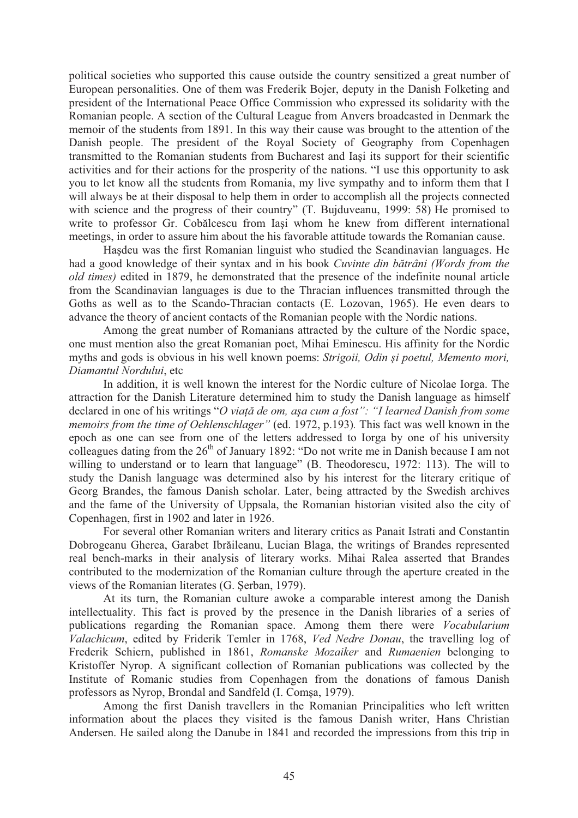political societies who supported this cause outside the country sensitized a great number of European personalities. One of them was Frederik Bojer, deputy in the Danish Folketing and president of the International Peace Office Commission who expressed its solidarity with the Romanian people. A section of the Cultural League from Anvers broadcasted in Denmark the memoir of the students from 1891. In this way their cause was brought to the attention of the Danish people. The president of the Royal Society of Geography from Copenhagen transmitted to the Romanian students from Bucharest and Iasi its support for their scientific activities and for their actions for the prosperity of the nations. "I use this opportunity to ask you to let know all the students from Romania, my live sympathy and to inform them that I will always be at their disposal to help them in order to accomplish all the projects connected with science and the progress of their country" (T. Bujduveanu, 1999: 58) He promised to write to professor Gr. Cobalcescu from Iași whom he knew from different international meetings, in order to assure him about the his favorable attitude towards the Romanian cause.

Hasdeu was the first Romanian linguist who studied the Scandinavian languages. He had a good knowledge of their syntax and in his book *Cuvinte din bătrâni (Words from the old times)* edited in 1879, he demonstrated that the presence of the indefinite nounal article from the Scandinavian languages is due to the Thracian influences transmitted through the Goths as well as to the Scando-Thracian contacts (E. Lozovan, 1965). He even dears to advance the theory of ancient contacts of the Romanian people with the Nordic nations.

Among the great number of Romanians attracted by the culture of the Nordic space, one must mention also the great Romanian poet, Mihai Eminescu. His affinity for the Nordic myths and gods is obvious in his well known poems: *Strigoii*, *Odin și poetul, Memento mori*, *Diamantul Nordului*, etc

In addition, it is well known the interest for the Nordic culture of Nicolae Iorga. The attraction for the Danish Literature determined him to study the Danish language as himself declared in one of his writings "*O viată de om, asa cum a fost*": "I learned Danish from some *memoirs from the time of Oehlenschlager"* (ed. 1972, p.193)*.* This fact was well known in the epoch as one can see from one of the letters addressed to Iorga by one of his university colleagues dating from the  $26<sup>th</sup>$  of January 1892: "Do not write me in Danish because I am not willing to understand or to learn that language" (B. Theodorescu, 1972: 113). The will to study the Danish language was determined also by his interest for the literary critique of Georg Brandes, the famous Danish scholar. Later, being attracted by the Swedish archives and the fame of the University of Uppsala, the Romanian historian visited also the city of Copenhagen, first in 1902 and later in 1926.

For several other Romanian writers and literary critics as Panait Istrati and Constantin Dobrogeanu Gherea, Garabet Ibrăileanu, Lucian Blaga, the writings of Brandes represented real bench-marks in their analysis of literary works. Mihai Ralea asserted that Brandes contributed to the modernization of the Romanian culture through the aperture created in the views of the Romanian literates (G. Serban, 1979).

At its turn, the Romanian culture awoke a comparable interest among the Danish intellectuality. This fact is proved by the presence in the Danish libraries of a series of publications regarding the Romanian space. Among them there were *Vocabularium Valachicum*, edited by Friderik Temler in 1768, *Ved Nedre Donau*, the travelling log of Frederik Schiern, published in 1861, *Romanske Mozaiker* and *Rumaenien* belonging to Kristoffer Nyrop. A significant collection of Romanian publications was collected by the Institute of Romanic studies from Copenhagen from the donations of famous Danish professors as Nyrop, Brondal and Sandfeld (I. Comsa, 1979).

Among the first Danish travellers in the Romanian Principalities who left written information about the places they visited is the famous Danish writer, Hans Christian Andersen. He sailed along the Danube in 1841 and recorded the impressions from this trip in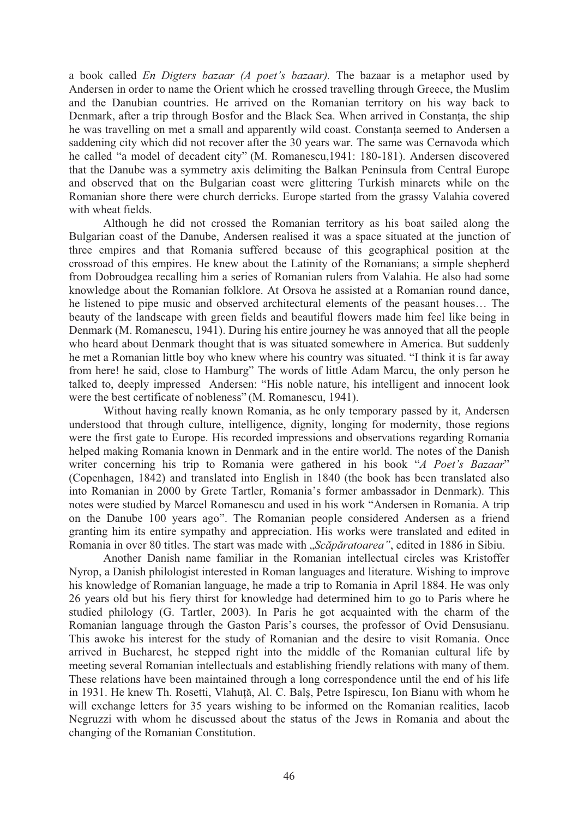a book called *En Digters bazaar (A poet's bazaar).* The bazaar is a metaphor used by Andersen in order to name the Orient which he crossed travelling through Greece, the Muslim and the Danubian countries. He arrived on the Romanian territory on his way back to Denmark, after a trip through Bosfor and the Black Sea. When arrived in Constanta, the ship he was travelling on met a small and apparently wild coast. Constanta seemed to Andersen a saddening city which did not recover after the 30 years war. The same was Cernavoda which he called "a model of decadent city" (M. Romanescu,1941: 180-181). Andersen discovered that the Danube was a symmetry axis delimiting the Balkan Peninsula from Central Europe and observed that on the Bulgarian coast were glittering Turkish minarets while on the Romanian shore there were church derricks. Europe started from the grassy Valahia covered with wheat fields.

Although he did not crossed the Romanian territory as his boat sailed along the Bulgarian coast of the Danube, Andersen realised it was a space situated at the junction of three empires and that Romania suffered because of this geographical position at the crossroad of this empires. He knew about the Latinity of the Romanians; a simple shepherd from Dobroudgea recalling him a series of Romanian rulers from Valahia. He also had some knowledge about the Romanian folklore. At Orsova he assisted at a Romanian round dance, he listened to pipe music and observed architectural elements of the peasant houses… The beauty of the landscape with green fields and beautiful flowers made him feel like being in Denmark (M. Romanescu, 1941). During his entire journey he was annoyed that all the people who heard about Denmark thought that is was situated somewhere in America. But suddenly he met a Romanian little boy who knew where his country was situated. "I think it is far away from here! he said, close to Hamburg" The words of little Adam Marcu, the only person he talked to, deeply impressed Andersen: "His noble nature, his intelligent and innocent look were the best certificate of nobleness" (M. Romanescu, 1941).

Without having really known Romania, as he only temporary passed by it, Andersen understood that through culture, intelligence, dignity, longing for modernity, those regions were the first gate to Europe. His recorded impressions and observations regarding Romania helped making Romania known in Denmark and in the entire world. The notes of the Danish writer concerning his trip to Romania were gathered in his book "*A Poet's Bazaar*" (Copenhagen, 1842) and translated into English in 1840 (the book has been translated also into Romanian in 2000 by Grete Tartler, Romania's former ambassador in Denmark). This notes were studied by Marcel Romanescu and used in his work "Andersen in Romania. A trip on the Danube 100 years ago". The Romanian people considered Andersen as a friend granting him its entire sympathy and appreciation. His works were translated and edited in Romania in over 80 titles. The start was made with "Scăpăratoarea", edited in 1886 in Sibiu.

Another Danish name familiar in the Romanian intellectual circles was Kristoffer Nyrop, a Danish philologist interested in Roman languages and literature. Wishing to improve his knowledge of Romanian language, he made a trip to Romania in April 1884. He was only 26 years old but his fiery thirst for knowledge had determined him to go to Paris where he studied philology (G. Tartler, 2003). In Paris he got acquainted with the charm of the Romanian language through the Gaston Paris's courses, the professor of Ovid Densusianu. This awoke his interest for the study of Romanian and the desire to visit Romania. Once arrived in Bucharest, he stepped right into the middle of the Romanian cultural life by meeting several Romanian intellectuals and establishing friendly relations with many of them. These relations have been maintained through a long correspondence until the end of his life in 1931. He knew Th. Rosetti, Vlahuță, Al. C. Balș, Petre Ispirescu, Ion Bianu with whom he will exchange letters for 35 years wishing to be informed on the Romanian realities, Iacob Negruzzi with whom he discussed about the status of the Jews in Romania and about the changing of the Romanian Constitution.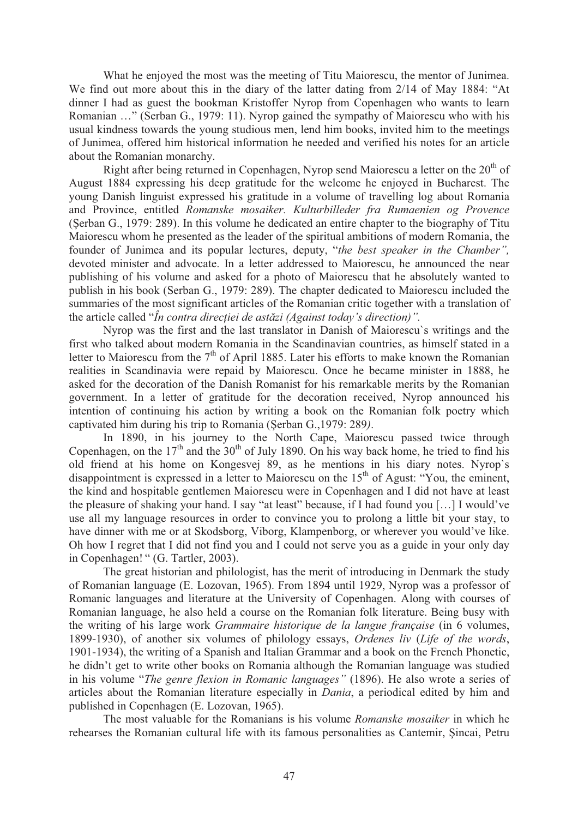What he enjoyed the most was the meeting of Titu Maiorescu, the mentor of Junimea. We find out more about this in the diary of the latter dating from 2/14 of May 1884: "At dinner I had as guest the bookman Kristoffer Nyrop from Copenhagen who wants to learn Romanian …" (Serban G., 1979: 11). Nyrop gained the sympathy of Maiorescu who with his usual kindness towards the young studious men, lend him books, invited him to the meetings of Junimea, offered him historical information he needed and verified his notes for an article about the Romanian monarchy.

Right after being returned in Copenhagen, Nyrop send Maiorescu a letter on the  $20<sup>th</sup>$  of August 1884 expressing his deep gratitude for the welcome he enjoyed in Bucharest. The young Danish linguist expressed his gratitude in a volume of travelling log about Romania and Province, entitled *Romanske mosaiker. Kulturbilleder fra Rumaenien og Provence*  (Serban G., 1979: 289). In this volume he dedicated an entire chapter to the biography of Titu Maiorescu whom he presented as the leader of the spiritual ambitions of modern Romania, the founder of Junimea and its popular lectures, deputy, "*the best speaker in the Chamber",*  devoted minister and advocate. In a letter addressed to Maiorescu, he announced the near publishing of his volume and asked for a photo of Maiorescu that he absolutely wanted to publish in his book (Serban G., 1979: 289). The chapter dedicated to Maiorescu included the summaries of the most significant articles of the Romanian critic together with a translation of the article called "*În contra direcției de astăzi (Against today's direction)*".

Nyrop was the first and the last translator in Danish of Maiorescu`s writings and the first who talked about modern Romania in the Scandinavian countries, as himself stated in a letter to Maiorescu from the  $7<sup>th</sup>$  of April 1885. Later his efforts to make known the Romanian realities in Scandinavia were repaid by Maiorescu. Once he became minister in 1888, he asked for the decoration of the Danish Romanist for his remarkable merits by the Romanian government. In a letter of gratitude for the decoration received, Nyrop announced his intention of continuing his action by writing a book on the Romanian folk poetry which captivated him during his trip to Romania (Serban G., 1979: 289).

In 1890, in his journey to the North Cape, Maiorescu passed twice through Copenhagen, on the  $17<sup>th</sup>$  and the  $30<sup>th</sup>$  of July 1890. On his way back home, he tried to find his old friend at his home on Kongesvej 89, as he mentions in his diary notes. Nyrop`s disappointment is expressed in a letter to Maiorescu on the 15<sup>th</sup> of Agust: "You, the eminent, the kind and hospitable gentlemen Maiorescu were in Copenhagen and I did not have at least the pleasure of shaking your hand. I say "at least" because, if I had found you […] I would've use all my language resources in order to convince you to prolong a little bit your stay, to have dinner with me or at Skodsborg, Viborg, Klampenborg, or wherever you would've like. Oh how I regret that I did not find you and I could not serve you as a guide in your only day in Copenhagen! " (G. Tartler, 2003).

The great historian and philologist, has the merit of introducing in Denmark the study of Romanian language (E. Lozovan, 1965). From 1894 until 1929, Nyrop was a professor of Romanic languages and literature at the University of Copenhagen. Along with courses of Romanian language, he also held a course on the Romanian folk literature. Being busy with the writing of his large work *Grammaire historique de la langue française* (in 6 volumes, 1899-1930), of another six volumes of philology essays, *Ordenes liv* (*Life of the words*, 1901-1934), the writing of a Spanish and Italian Grammar and a book on the French Phonetic, he didn't get to write other books on Romania although the Romanian language was studied in his volume "*The genre flexion in Romanic languages"* (1896). He also wrote a series of articles about the Romanian literature especially in *Dania*, a periodical edited by him and published in Copenhagen (E. Lozovan, 1965).

The most valuable for the Romanians is his volume *Romanske mosaiker* in which he rehearses the Romanian cultural life with its famous personalities as Cantemir, Sincai, Petru